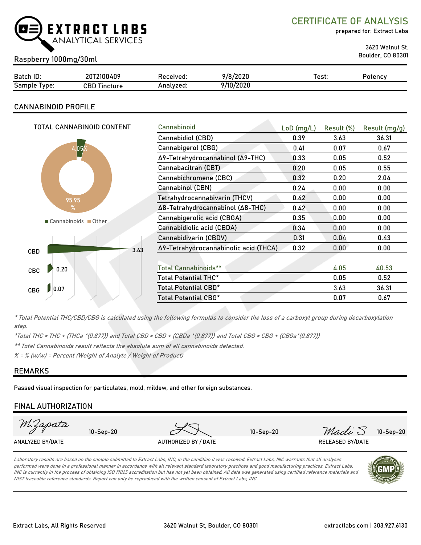

CERTIFICATE OF ANALYSIS

prepared for: Extract Labs

3620 Walnut St.

# Boulder, CO 80301 Raspberry 1000mg/30ml

| Batch ID:        | 20T2100409          | Received: | 9/8/2020  | ⊺est: | Potency |
|------------------|---------------------|-----------|-----------|-------|---------|
| Sample<br>I vpe: | CBD Tir<br>Tincture | Analyzed: | 9/10/2020 |       |         |

# CANNABINOID PROFILE

| TOTAL CANNABINOID CONTENT | Cannabinoid                                   | $LoD$ (mg/L) | Result (%) | Result (mg/g) |
|---------------------------|-----------------------------------------------|--------------|------------|---------------|
|                           | Cannabidiol (CBD)                             | 0.39         | 3.63       | 36.31         |
| $ 05\%$                   | Cannabigerol (CBG)                            | 0.41         | 0.07       | 0.67          |
|                           | Δ9-Tetrahydrocannabinol (Δ9-THC)              | 0.33         | 0.05       | 0.52          |
|                           | Cannabacitran (CBT)                           | 0.20         | 0.05       | 0.55          |
|                           | Cannabichromene (CBC)                         | 0.32         | 0.20       | 2.04          |
|                           | Cannabinol (CBN)                              | 0.24         | 0.00       | 0.00          |
| 95.95                     | Tetrahydrocannabivarin (THCV)                 | 0.42         | 0.00       | 0.00          |
| $\%$                      | Δ8-Tetrahydrocannabinol (Δ8-THC)              | 0.42         | 0.00       | 0.00          |
| Cannabinoids Other        | Cannabigerolic acid (CBGA)                    | 0.35         | 0.00       | 0.00          |
|                           | Cannabidiolic acid (CBDA)                     | 0.34         | 0.00       | 0.00          |
|                           | Cannabidivarin (CBDV)                         | 0.31         | 0.04       | 0.43          |
| CBD                       | Δ9-Tetrahydrocannabinolic acid (THCA)<br>3.63 | 0.32         | 0.00       | 0.00          |
|                           |                                               |              |            |               |
| 0.20<br>CBC               | <b>Total Cannabinoids**</b>                   |              | 4.05       | 40.53         |
|                           | Total Potential THC*                          |              | 0.05       | 0.52          |
| 0.07<br><b>CBG</b>        | Total Potential CBD*                          |              | 3.63       | 36.31         |
|                           | Total Potential CBG*                          |              | 0.07       | 0.67          |
|                           |                                               |              |            |               |

\* Total Potential THC/CBD/CBG is calculated using the following formulas to consider the loss of a carboxyl group during decarboxylation step.

\*Total THC = THC + (THCa \*(0.877)) and Total CBD = CBD + (CBDa \*(0.877)) and Total CBG = CBG + (CBGa\*(0.877))

\*\* Total Cannabinoids result reflects the absolute sum of all cannabinoids detected.

 $% =$  % (w/w) = Percent (Weight of Analyte / Weight of Product)

# REMARKS

Passed visual inspection for particulates, mold, mildew, and other foreign substances.

# FINAL AUTHORIZATION

| M.Zapata         | $10-Sep-20$ |                      | $10-Sep-20$ | Madi S                  | 10-Sep-20 |
|------------------|-------------|----------------------|-------------|-------------------------|-----------|
| ANALYZED BY/DATE |             | AUTHORIZED BY / DATE |             | <b>RELEASED BY/DATE</b> |           |

Laboratory results are based on the sample submitted to Extract Labs, INC, in the condition it was received. Extract Labs, INC warrants that all analyses performed were done in a professional manner in accordance with all relevant standard laboratory practices and good manufacturing practices. Extract Labs, INC is currently in the process of obtaining ISO 17025 accreditation but has not yet been obtained. All data was generated using certified reference materials and NIST traceable reference standards. Report can only be reproduced with the written consent of Extract Labs, INC.

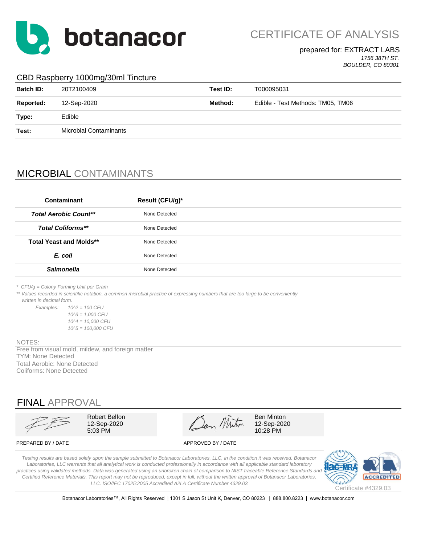

CERTIFICATE OF ANALYSIS

#### prepared for: EXTRACT LABS *1756 38TH ST.*

*BOULDER, CO 80301*

## CBD Raspberry 1000mg/30ml Tincture

| <b>Batch ID:</b> | 20T2100409                    | Test ID: | T000095031                        |
|------------------|-------------------------------|----------|-----------------------------------|
| Reported:        | 12-Sep-2020                   | Method:  | Edible - Test Methods: TM05, TM06 |
| Type:            | Edible                        |          |                                   |
| Test:            | <b>Microbial Contaminants</b> |          |                                   |
|                  |                               |          |                                   |

# MICROBIAL CONTAMINANTS

| Contaminant                    | Result (CFU/g)* |
|--------------------------------|-----------------|
| <b>Total Aerobic Count**</b>   | None Detected   |
| <b>Total Coliforms**</b>       | None Detected   |
| <b>Total Yeast and Molds**</b> | None Detected   |
| E. coli                        | None Detected   |
| <b>Salmonella</b>              | None Detected   |
|                                |                 |

*\* CFU/g = Colony Forming Unit per Gram*

\*\* Values recorded in scientific notation, a common microbial practice of expressing numbers that are too large to be conveniently  *written in decimal form.*

*Examples: 10^2 = 100 CFU 10^3 = 1,000 CFU 10^4 = 10,000 CFU 10^5 = 100,000 CFU*

#### NOTES:

TYM: None Detected Total Aerobic: None Detected Coliforms: None Detected Free from visual mold, mildew, and foreign matter

# FINAL APPROVAL

Robert Belfon  $\mathscr{A}$   $\mathscr{A}$  Ben Minton 12-Sep-2020  $\sqrt{2}$   $\sqrt{2}$  12-Sep-2020  $5.03 \text{ PM}$  10:28 PM

PREPARED BY / DATE APPROVED BY / DATE

*Testing results are based solely upon the sample submitted to Botanacor Laboratories, LLC, in the condition it was received. Botanacor Laboratories, LLC warrants that all analytical work is conducted professionally in accordance with all applicable standard laboratory*  practices using validated methods. Data was generated using an unbroken chain of comparison to NIST traceable Reference Standards and *Certified Reference Materials. This report may not be reproduced, except in full, without the written approval of Botanacor Laboratories, LLC. ISO/IEC 17025:2005 Accredited A2LA Certificate Number 4329.03*



Botanacor Laboratories™, All Rights Reserved | 1301 S Jason St Unit K, Denver, CO 80223 | 888.800.8223 | www.botanacor.com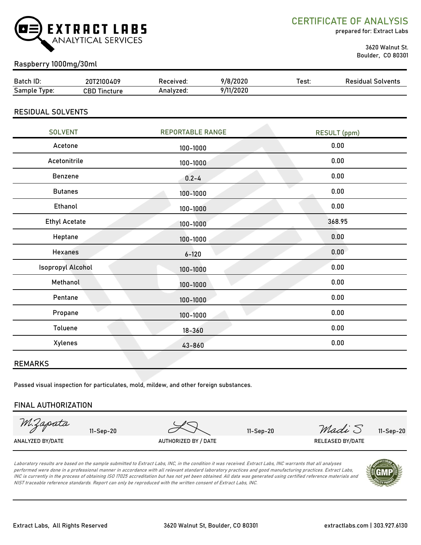

CERTIFICATE OF ANALYSIS

prepared for: Extract Labs

 3620 Walnut St. Boulder, CO 80301

# Raspberry 1000mg/30ml

| Batch ID:    | 20T2100409          | Received: | 9/8/2020  | Test: | <b>Residual Solvents</b> |
|--------------|---------------------|-----------|-----------|-------|--------------------------|
| Sample Type: | <b>CBD Tincture</b> | Analyzed: | 9/11/2020 |       |                          |
|              |                     |           |           |       |                          |

## RESIDUAL SOLVENTS

| <b>SOLVENT</b>           | <b>REPORTABLE RANGE</b> | <b>RESULT (ppm)</b> |
|--------------------------|-------------------------|---------------------|
| Acetone                  | 100-1000                | 0.00                |
| Acetonitrile             | 100-1000                | 0.00                |
| Benzene                  | $0.2 - 4$               | 0.00                |
| <b>Butanes</b>           | 100-1000                | 0.00                |
| Ethanol                  | 100-1000                | 0.00                |
| <b>Ethyl Acetate</b>     | 100-1000                | 368.95              |
| Heptane                  | 100-1000                | 0.00                |
| <b>Hexanes</b>           | $6 - 120$               | 0.00                |
| <b>Isopropyl Alcohol</b> | 100-1000                | 0.00                |
| Methanol                 | 100-1000                | 0.00                |
| Pentane                  | 100-1000                | 0.00                |
| Propane                  | 100-1000                | 0.00                |
| Toluene                  | $18 - 360$              | 0.00                |
| Xylenes                  | 43-860                  | 0.00                |
|                          |                         |                     |

### REMARKS

Passed visual inspection for particulates, mold, mildew, and other foreign substances.

### FINAL AUTHORIZATION

M.Zapata 11-Sep-20 11-Sep-20 11-Sep-20  $\mathcal{M}$  11-Sep-20  $\mathcal{M}$   $\mathcal{M}$   $\mathcal{M}$   $\mathcal{M}$   $\mathcal{M}$   $\mathcal{M}$   $\mathcal{M}$   $\mathcal{M}$   $\mathcal{M}$   $\mathcal{M}$   $\mathcal{M}$   $\mathcal{M}$   $\mathcal{M}$   $\mathcal{M}$   $\mathcal{M}$   $\mathcal{M}$   $\mathcal{M}$   $\mathcal{M}$   $\mathcal{M}$  ANALYZED BY/DATE AUTHORIZED BY / DATE AUTHORIZED BY / DATE RELEASED BY/DATE

Laboratory results are based on the sample submitted to Extract Labs, INC, in the condition it was received. Extract Labs, INC warrants that all analyses performed were done in a professional manner in accordance with all relevant standard laboratory practices and good manufacturing practices. Extract Labs, INC is currently in the process of obtaining ISO 17025 accreditation but has not yet been obtained. All data was generated using certified reference materials and NIST traceable reference standards. Report can only be reproduced with the written consent of Extract Labs, INC.